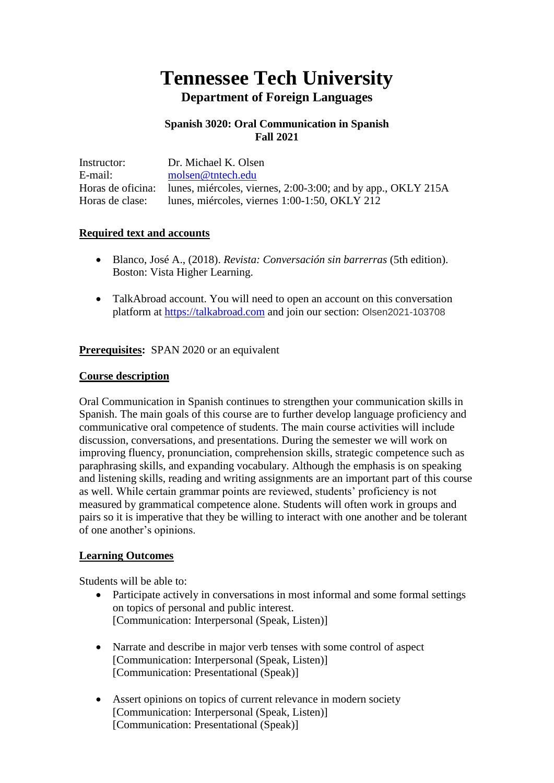# **Tennessee Tech University Department of Foreign Languages**

#### **Spanish 3020: Oral Communication in Spanish Fall 2021**

| Instructor:       | Dr. Michael K. Olsen                                         |
|-------------------|--------------------------------------------------------------|
| E-mail:           | molsen@tntech.edu                                            |
| Horas de oficina: | lunes, miércoles, viernes, 2:00-3:00; and by app., OKLY 215A |
| Horas de clase:   | lunes, miércoles, viernes 1:00-1:50, OKLY 212                |

#### **Required text and accounts**

- Blanco, José A., (2018). *Revista: Conversación sin barrerras* (5th edition). Boston: Vista Higher Learning.
- TalkAbroad account. You will need to open an account on this conversation platform at [https://talkabroad.com](https://talkabroad.com/) and join our section: Olsen2021-103708

**Prerequisites:** SPAN 2020 or an equivalent

#### **Course description**

Oral Communication in Spanish continues to strengthen your communication skills in Spanish. The main goals of this course are to further develop language proficiency and communicative oral competence of students. The main course activities will include discussion, conversations, and presentations. During the semester we will work on improving fluency, pronunciation, comprehension skills, strategic competence such as paraphrasing skills, and expanding vocabulary. Although the emphasis is on speaking and listening skills, reading and writing assignments are an important part of this course as well. While certain grammar points are reviewed, students' proficiency is not measured by grammatical competence alone. Students will often work in groups and pairs so it is imperative that they be willing to interact with one another and be tolerant of one another's opinions.

#### **Learning Outcomes**

Students will be able to:

- Participate actively in conversations in most informal and some formal settings on topics of personal and public interest. [Communication: Interpersonal (Speak, Listen)]
- Narrate and describe in major verb tenses with some control of aspect [Communication: Interpersonal (Speak, Listen)] [Communication: Presentational (Speak)]
- Assert opinions on topics of current relevance in modern society [Communication: Interpersonal (Speak, Listen)] [Communication: Presentational (Speak)]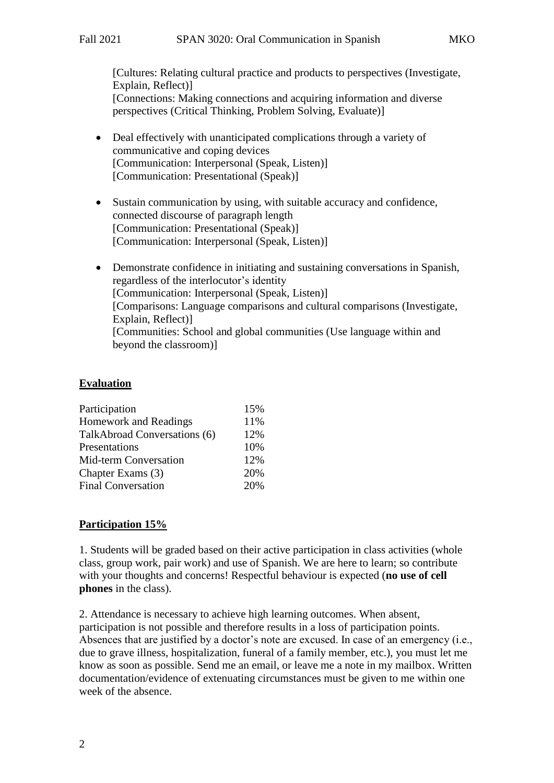[Cultures: Relating cultural practice and products to perspectives (Investigate, Explain, Reflect)] [Connections: Making connections and acquiring information and diverse perspectives (Critical Thinking, Problem Solving, Evaluate)]

- Deal effectively with unanticipated complications through a variety of communicative and coping devices [Communication: Interpersonal (Speak, Listen)] [Communication: Presentational (Speak)]
- Sustain communication by using, with suitable accuracy and confidence, connected discourse of paragraph length [Communication: Presentational (Speak)] [Communication: Interpersonal (Speak, Listen)]
- Demonstrate confidence in initiating and sustaining conversations in Spanish, regardless of the interlocutor's identity [Communication: Interpersonal (Speak, Listen)] [Comparisons: Language comparisons and cultural comparisons (Investigate, Explain, Reflect)] [Communities: School and global communities (Use language within and beyond the classroom)]

# **Evaluation**

| Participation                | 15% |
|------------------------------|-----|
| <b>Homework and Readings</b> | 11% |
| TalkAbroad Conversations (6) | 12% |
| Presentations                | 10% |
| Mid-term Conversation        | 12% |
| Chapter Exams (3)            | 20% |
| <b>Final Conversation</b>    | 20% |

# **Participation 15%**

1. Students will be graded based on their active participation in class activities (whole class, group work, pair work) and use of Spanish. We are here to learn; so contribute with your thoughts and concerns! Respectful behaviour is expected (**no use of cell phones** in the class).

2. Attendance is necessary to achieve high learning outcomes. When absent, participation is not possible and therefore results in a loss of participation points. Absences that are justified by a doctor's note are excused. In case of an emergency (i.e., due to grave illness, hospitalization, funeral of a family member, etc.), you must let me know as soon as possible. Send me an email, or leave me a note in my mailbox. Written documentation/evidence of extenuating circumstances must be given to me within one week of the absence.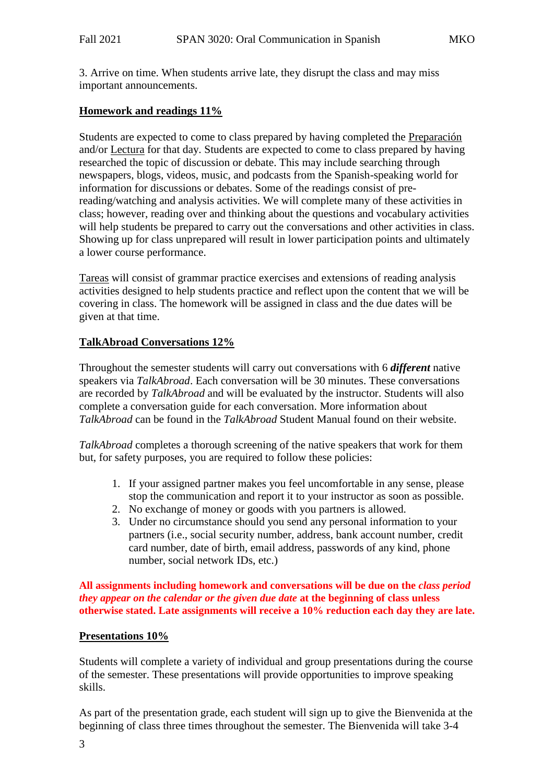3. Arrive on time. When students arrive late, they disrupt the class and may miss important announcements.

### **Homework and readings 11%**

Students are expected to come to class prepared by having completed the Preparación and/or Lectura for that day. Students are expected to come to class prepared by having researched the topic of discussion or debate. This may include searching through newspapers, blogs, videos, music, and podcasts from the Spanish-speaking world for information for discussions or debates. Some of the readings consist of prereading/watching and analysis activities. We will complete many of these activities in class; however, reading over and thinking about the questions and vocabulary activities will help students be prepared to carry out the conversations and other activities in class. Showing up for class unprepared will result in lower participation points and ultimately a lower course performance.

Tareas will consist of grammar practice exercises and extensions of reading analysis activities designed to help students practice and reflect upon the content that we will be covering in class. The homework will be assigned in class and the due dates will be given at that time.

# **TalkAbroad Conversations 12%**

Throughout the semester students will carry out conversations with 6 *different* native speakers via *TalkAbroad*. Each conversation will be 30 minutes. These conversations are recorded by *TalkAbroad* and will be evaluated by the instructor. Students will also complete a conversation guide for each conversation. More information about *TalkAbroad* can be found in the *TalkAbroad* Student Manual found on their website.

*TalkAbroad* completes a thorough screening of the native speakers that work for them but, for safety purposes, you are required to follow these policies:

- 1. If your assigned partner makes you feel uncomfortable in any sense, please stop the communication and report it to your instructor as soon as possible.
- 2. No exchange of money or goods with you partners is allowed.
- 3. Under no circumstance should you send any personal information to your partners (i.e., social security number, address, bank account number, credit card number, date of birth, email address, passwords of any kind, phone number, social network IDs, etc.)

**All assignments including homework and conversations will be due on the** *class period they appear on the calendar or the given due date* **at the beginning of class unless otherwise stated. Late assignments will receive a 10% reduction each day they are late.**

#### **Presentations 10%**

Students will complete a variety of individual and group presentations during the course of the semester. These presentations will provide opportunities to improve speaking skills.

As part of the presentation grade, each student will sign up to give the Bienvenida at the beginning of class three times throughout the semester. The Bienvenida will take 3-4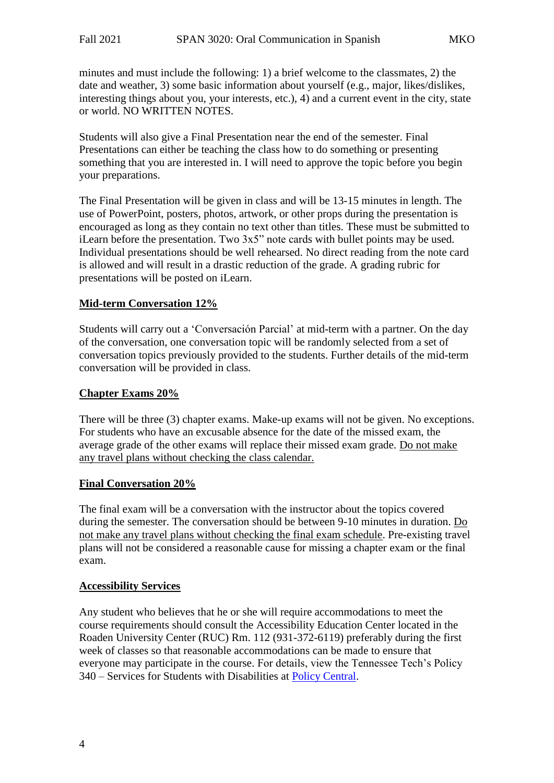minutes and must include the following: 1) a brief welcome to the classmates, 2) the date and weather, 3) some basic information about yourself (e.g., major, likes/dislikes, interesting things about you, your interests, etc.), 4) and a current event in the city, state or world. NO WRITTEN NOTES.

Students will also give a Final Presentation near the end of the semester. Final Presentations can either be teaching the class how to do something or presenting something that you are interested in. I will need to approve the topic before you begin your preparations.

The Final Presentation will be given in class and will be 13-15 minutes in length. The use of PowerPoint, posters, photos, artwork, or other props during the presentation is encouraged as long as they contain no text other than titles. These must be submitted to iLearn before the presentation. Two 3x5" note cards with bullet points may be used. Individual presentations should be well rehearsed. No direct reading from the note card is allowed and will result in a drastic reduction of the grade. A grading rubric for presentations will be posted on iLearn.

#### **Mid-term Conversation 12%**

Students will carry out a 'Conversación Parcial' at mid-term with a partner. On the day of the conversation, one conversation topic will be randomly selected from a set of conversation topics previously provided to the students. Further details of the mid-term conversation will be provided in class.

#### **Chapter Exams 20%**

There will be three (3) chapter exams. Make-up exams will not be given. No exceptions. For students who have an excusable absence for the date of the missed exam, the average grade of the other exams will replace their missed exam grade. Do not make any travel plans without checking the class calendar.

#### **Final Conversation 20%**

The final exam will be a conversation with the instructor about the topics covered during the semester. The conversation should be between 9-10 minutes in duration. Do not make any travel plans without checking the final exam schedule. Pre-existing travel plans will not be considered a reasonable cause for missing a chapter exam or the final exam.

#### **Accessibility Services**

Any student who believes that he or she will require accommodations to meet the course requirements should consult the Accessibility Education Center located in the Roaden University Center (RUC) Rm. 112 (931-372-6119) preferably during the first week of classes so that reasonable accommodations can be made to ensure that everyone may participate in the course. For details, view the Tennessee Tech's Policy 340 – Services for Students with Disabilities at [Policy Central.](https://www.tntech.edu/policies/)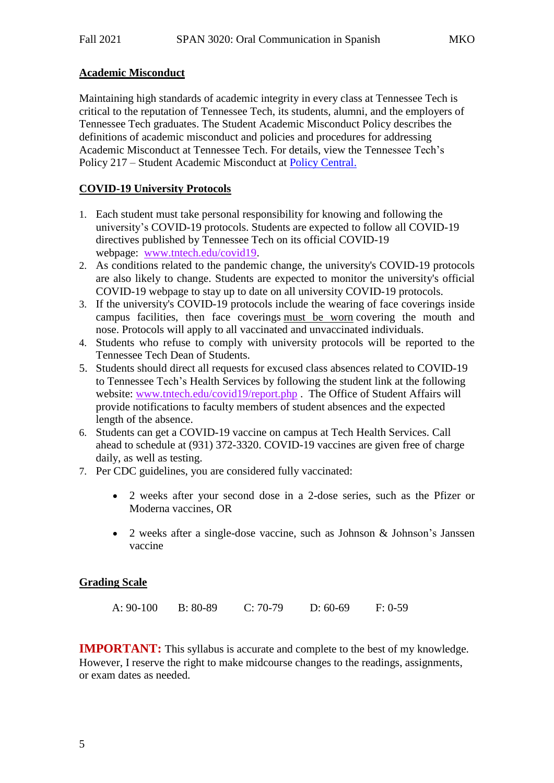# **Academic Misconduct**

Maintaining high standards of academic integrity in every class at Tennessee Tech is critical to the reputation of Tennessee Tech, its students, alumni, and the employers of Tennessee Tech graduates. The Student Academic Misconduct Policy describes the definitions of academic misconduct and policies and procedures for addressing Academic Misconduct at Tennessee Tech. For details, view the Tennessee Tech's Policy 217 – Student Academic Misconduct at [Policy Central.](https://www.tntech.edu/policies/)

# **COVID-19 University Protocols**

- 1. Each student must take personal responsibility for knowing and following the university's COVID-19 protocols. Students are expected to follow all COVID-19 directives published by Tennessee Tech on its official COVID-19 webpage: [www.tntech.edu/covid19.](http://www.tntech.edu/covid19)
- 2. As conditions related to the pandemic change, the university's COVID-19 protocols are also likely to change. Students are expected to monitor the university's official COVID-19 webpage to stay up to date on all university COVID-19 protocols.
- 3. If the university's COVID-19 protocols include the wearing of face coverings inside campus facilities, then face coverings must be worn covering the mouth and nose. Protocols will apply to all vaccinated and unvaccinated individuals.
- 4. Students who refuse to comply with university protocols will be reported to the Tennessee Tech Dean of Students.
- 5. Students should direct all requests for excused class absences related to COVID-19 to Tennessee Tech's Health Services by following the student link at the following website: [www.tntech.edu/covid19/report.php](http://www.tntech.edu/covid19/report.php) . The Office of Student Affairs will provide notifications to faculty members of student absences and the expected length of the absence.
- 6. Students can get a COVID-19 vaccine on campus at Tech Health Services. Call ahead to schedule at (931) 372-3320. COVID-19 vaccines are given free of charge daily, as well as testing.
- 7. Per CDC guidelines, you are considered fully vaccinated:
	- 2 weeks after your second dose in a 2-dose series, such as the Pfizer or Moderna vaccines, OR
	- 2 weeks after a single-dose vaccine, such as Johnson & Johnson's Janssen vaccine

#### **Grading Scale**

| A: $90-100$ | $B: 80-89$ | $C: 70-79$ | $D: 60-69$ | $F: 0-59$ |
|-------------|------------|------------|------------|-----------|
|             |            |            |            |           |

**IMPORTANT:** This syllabus is accurate and complete to the best of my knowledge. However, I reserve the right to make midcourse changes to the readings, assignments, or exam dates as needed.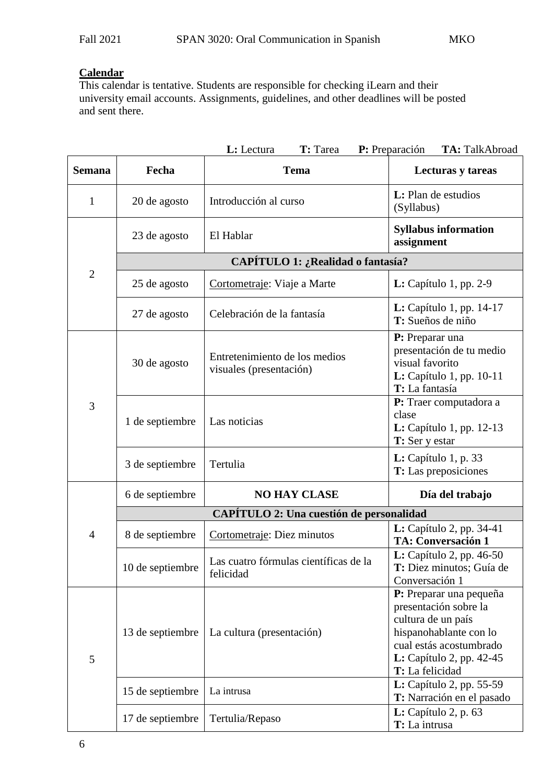# **Calendar**

This calendar is tentative. Students are responsible for checking iLearn and their university email accounts. Assignments, guidelines, and other deadlines will be posted and sent there.

|                |                                                 | T: Tarea<br>L: Lectura                                   | P: Preparación<br>TA: TalkAbroad                                                                                                                                                  |  |  |
|----------------|-------------------------------------------------|----------------------------------------------------------|-----------------------------------------------------------------------------------------------------------------------------------------------------------------------------------|--|--|
| <b>Semana</b>  | Fecha                                           | <b>Tema</b>                                              | Lecturas y tareas                                                                                                                                                                 |  |  |
| 1              | 20 de agosto                                    | Introducción al curso                                    | L: Plan de estudios<br>(Syllabus)                                                                                                                                                 |  |  |
|                | 23 de agosto                                    | El Hablar                                                | <b>Syllabus information</b><br>assignment                                                                                                                                         |  |  |
|                | CAPÍTULO 1: ¿Realidad o fantasía?               |                                                          |                                                                                                                                                                                   |  |  |
| $\overline{2}$ | 25 de agosto                                    | Cortometraje: Viaje a Marte                              | $L: Capitulo 1, pp. 2-9$                                                                                                                                                          |  |  |
|                | 27 de agosto                                    | Celebración de la fantasía                               | <b>L:</b> Capítulo 1, pp. 14-17<br>T: Sueños de niño                                                                                                                              |  |  |
| 3              | 30 de agosto                                    | Entretenimiento de los medios<br>visuales (presentación) | P: Preparar una<br>presentación de tu medio<br>visual favorito<br>L: Capítulo 1, pp. 10-11<br>T: La fantasía                                                                      |  |  |
|                | 1 de septiembre                                 | Las noticias                                             | P: Traer computadora a<br>clase<br>$L:$ Capítulo 1, pp. 12-13<br>T: Ser y estar                                                                                                   |  |  |
|                | 3 de septiembre                                 | Tertulia                                                 | L: Capitulo 1, p. 33<br><b>T:</b> Las preposiciones                                                                                                                               |  |  |
|                | 6 de septiembre                                 | <b>NO HAY CLASE</b>                                      | Día del trabajo                                                                                                                                                                   |  |  |
|                | <b>CAPÍTULO 2: Una cuestión de personalidad</b> |                                                          |                                                                                                                                                                                   |  |  |
| $\overline{4}$ | 8 de septiembre                                 | Cortometraje: Diez minutos                               | <b>L:</b> Capítulo 2, pp. 34-41<br><b>TA: Conversación 1</b>                                                                                                                      |  |  |
|                | 10 de septiembre                                | Las cuatro fórmulas científicas de la<br>felicidad       | <b>L:</b> Capítulo 2, pp. 46-50<br>T: Diez minutos; Guía de<br>Conversación 1                                                                                                     |  |  |
| 5              | 13 de septiembre                                | La cultura (presentación)                                | P: Preparar una pequeña<br>presentación sobre la<br>cultura de un país<br>hispanohablante con lo<br>cual estás acostumbrado<br><b>L:</b> Capítulo 2, pp. 42-45<br>T: La felicidad |  |  |
|                | 15 de septiembre                                | La intrusa                                               | <b>L:</b> Capítulo 2, pp. 55-59<br>T: Narración en el pasado                                                                                                                      |  |  |
|                | 17 de septiembre                                | Tertulia/Repaso                                          | $L:$ Capítulo 2, p. 63<br>T: La intrusa                                                                                                                                           |  |  |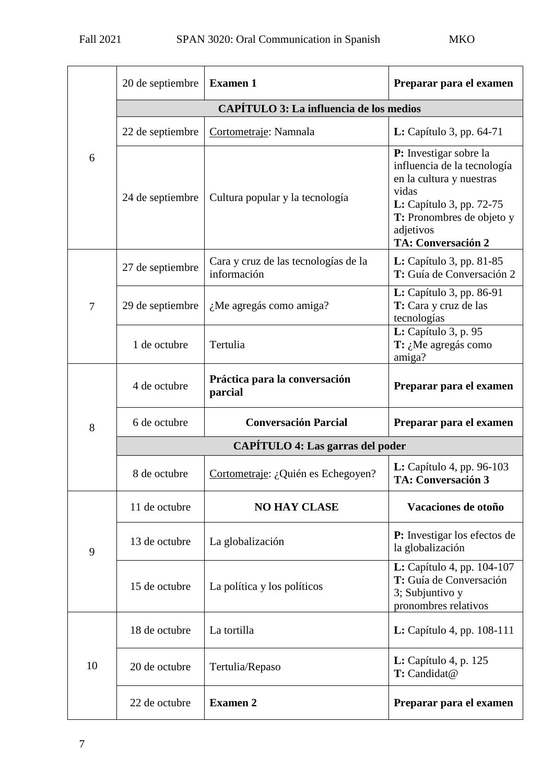| 6  | 20 de septiembre                        | <b>Examen 1</b>                                     | Preparar para el examen                                                                                                                                                                              |  |  |
|----|-----------------------------------------|-----------------------------------------------------|------------------------------------------------------------------------------------------------------------------------------------------------------------------------------------------------------|--|--|
|    | CAPÍTULO 3: La influencia de los medios |                                                     |                                                                                                                                                                                                      |  |  |
|    | 22 de septiembre                        | Cortometraje: Namnala                               | L: Capítulo 3, pp. $64-71$                                                                                                                                                                           |  |  |
|    | 24 de septiembre                        | Cultura popular y la tecnología                     | P: Investigar sobre la<br>influencia de la tecnología<br>en la cultura y nuestras<br>vidas<br>L: Capítulo 3, pp. 72-75<br><b>T:</b> Pronombres de objeto y<br>adjetivos<br><b>TA: Conversación 2</b> |  |  |
|    | 27 de septiembre                        | Cara y cruz de las tecnologías de la<br>información | $L:$ Capítulo 3, pp. 81-85<br>T: Guía de Conversación 2                                                                                                                                              |  |  |
| 7  | 29 de septiembre                        | ¿Me agregás como amiga?                             | <b>L:</b> Capítulo 3, pp. 86-91<br>T: Cara y cruz de las<br>tecnologías                                                                                                                              |  |  |
|    | 1 de octubre                            | Tertulia                                            | <b>L:</b> Capítulo 3, p. 95<br>$T: \Lambda$ Me agregás como<br>amiga?                                                                                                                                |  |  |
|    | 4 de octubre                            | Práctica para la conversación<br>parcial            | Preparar para el examen                                                                                                                                                                              |  |  |
| 8  | 6 de octubre                            | <b>Conversación Parcial</b>                         | Preparar para el examen                                                                                                                                                                              |  |  |
|    | <b>CAPÍTULO 4: Las garras del poder</b> |                                                     |                                                                                                                                                                                                      |  |  |
|    | 8 de octubre                            | Cortometraje: ¿Quién es Echegoyen?                  | L: Capítulo 4, pp. 96-103<br><b>TA: Conversación 3</b>                                                                                                                                               |  |  |
|    | 11 de octubre                           | <b>NO HAY CLASE</b>                                 | Vacaciones de otoño                                                                                                                                                                                  |  |  |
| 9  | 13 de octubre                           | La globalización                                    | <b>P:</b> Investigar los efectos de<br>la globalización                                                                                                                                              |  |  |
|    | 15 de octubre                           | La política y los políticos                         | L: Capítulo 4, pp. 104-107<br>T: Guía de Conversación<br>3; Subjuntivo y<br>pronombres relativos                                                                                                     |  |  |
| 10 | 18 de octubre                           | La tortilla                                         | <b>L:</b> Capítulo 4, pp. 108-111                                                                                                                                                                    |  |  |
|    | 20 de octubre                           | Tertulia/Repaso                                     | <b>L:</b> Capítulo 4, p. 125<br>T: Candidat@                                                                                                                                                         |  |  |
|    | 22 de octubre                           | <b>Examen 2</b>                                     | Preparar para el examen                                                                                                                                                                              |  |  |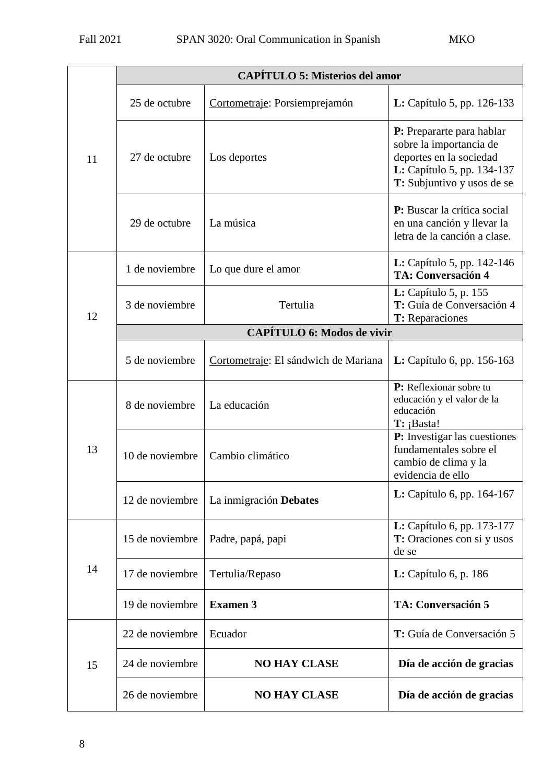|    | <b>CAPÍTULO 5: Misterios del amor</b> |                                      |                                                                                                                                             |  |
|----|---------------------------------------|--------------------------------------|---------------------------------------------------------------------------------------------------------------------------------------------|--|
| 11 | 25 de octubre                         | Cortometraje: Porsiemprejamón        | <b>L:</b> Capítulo 5, pp. 126-133                                                                                                           |  |
|    | 27 de octubre                         | Los deportes                         | P: Prepararte para hablar<br>sobre la importancia de<br>deportes en la sociedad<br>L: Capítulo 5, pp. 134-137<br>T: Subjuntivo y usos de se |  |
|    | 29 de octubre                         | La música                            | P: Buscar la crítica social<br>en una canción y llevar la<br>letra de la canción a clase.                                                   |  |
|    | 1 de noviembre                        | Lo que dure el amor                  | <b>L:</b> Capítulo 5, pp. 142-146<br><b>TA: Conversación 4</b>                                                                              |  |
| 12 | 3 de noviembre                        | Tertulia                             | L: Capítulo 5, p. 155<br>T: Guía de Conversación 4<br>T: Reparaciones                                                                       |  |
|    |                                       | <b>CAPÍTULO 6: Modos de vivir</b>    |                                                                                                                                             |  |
|    | 5 de noviembre                        | Cortometraje: El sándwich de Mariana | <b>L:</b> Capítulo 6, pp. $156-163$                                                                                                         |  |
| 13 | 8 de noviembre                        | La educación                         | P: Reflexionar sobre tu<br>educación y el valor de la<br>educación<br>$T:$ ¡Basta!                                                          |  |
|    | 10 de noviembre                       | Cambio climático                     | P: Investigar las cuestiones<br>fundamentales sobre el<br>cambio de clima y la<br>evidencia de ello                                         |  |
|    | 12 de noviembre                       | La inmigración Debates               | L: Capítulo 6, pp. 164-167                                                                                                                  |  |
| 14 | 15 de noviembre                       | Padre, papá, papi                    | L: Capítulo 6, pp. 173-177<br><b>T:</b> Oraciones con si y usos<br>de se                                                                    |  |
|    | 17 de noviembre                       | Tertulia/Repaso                      | L: Capítulo 6, p. 186                                                                                                                       |  |
|    | 19 de noviembre                       | <b>Examen 3</b>                      | <b>TA: Conversación 5</b>                                                                                                                   |  |
| 15 | 22 de noviembre                       | Ecuador                              | T: Guía de Conversación 5                                                                                                                   |  |
|    | 24 de noviembre                       | <b>NO HAY CLASE</b>                  | Día de acción de gracias                                                                                                                    |  |
|    | 26 de noviembre                       | <b>NO HAY CLASE</b>                  | Día de acción de gracias                                                                                                                    |  |